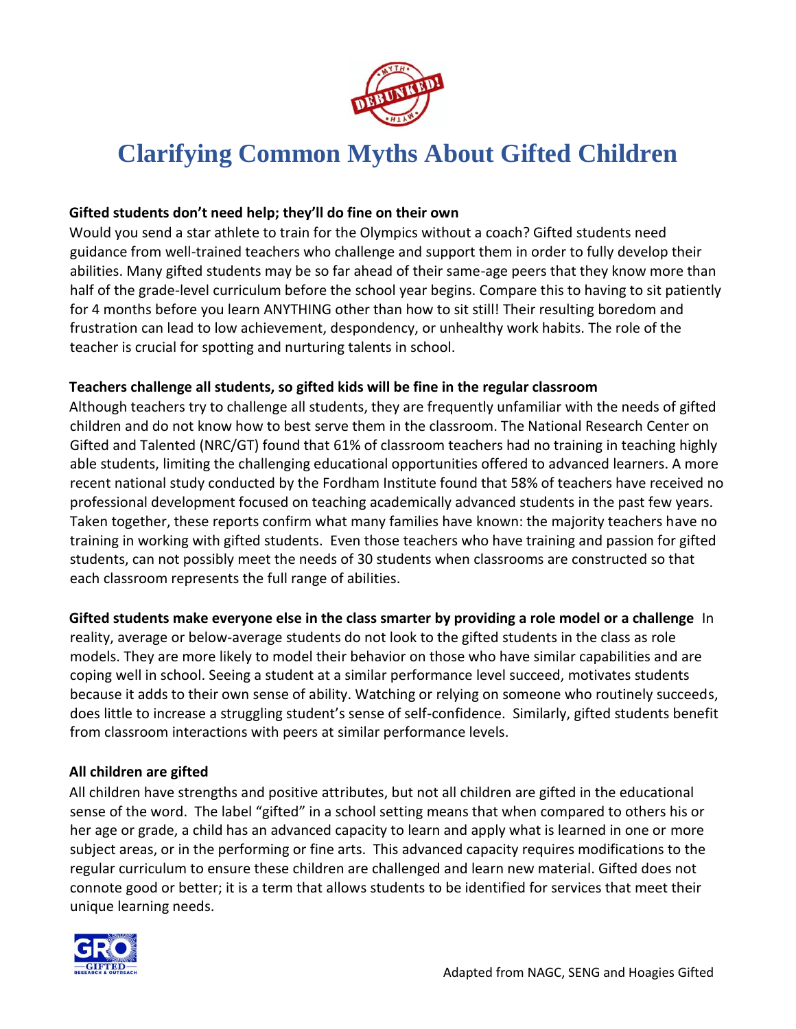

# **Clarifying Common Myths About Gifted Children**

#### **Gifted students don't need help; they'll do fine on their own**

Would you send a star athlete to train for the Olympics without a coach? Gifted students need guidance from well-trained teachers who challenge and support them in order to fully develop their abilities. Many gifted students may be so far ahead of their same-age peers that they know more than half of the grade-level curriculum before the school year begins. Compare this to having to sit patiently for 4 months before you learn ANYTHING other than how to sit still! Their resulting boredom and frustration can lead to low achievement, despondency, or unhealthy work habits. The role of the teacher is crucial for spotting and nurturing talents in school.

#### **Teachers challenge all students, so gifted kids will be fine in the regular classroom**

Although teachers try to challenge all students, they are frequently unfamiliar with the needs of gifted children and do not know how to best serve them in the classroom. The National Research Center on Gifted and Talented (NRC/GT) found that [61% of classroom teachers](http://www.gifted.uconn.edu/nrcgt/archwest.html) [h](http://www.gifted.uconn.edu/nrcgt/archwest.html)ad no training in teaching highly able students, limiting the challenging educational opportunities offered to advanced learners. A more recent national study conducted by the Fordham Institute found that 58% of teachers have received no professional development focused on teaching academically advanced students in the past few years. Taken together, these reports confirm what many families have known: the majority teachers have no training in working with gifted students. Even those teachers who have training and passion for gifted students, can not possibly meet the needs of 30 students when classrooms are constructed so that each classroom represents the full range of abilities.

**Gifted students make everyone else in the class smarter by providing a role model or a challenge** In reality, average or below-average students do not look to the gifted students in the class as role models. They are more likely to model their behavior on those who have similar capabilities and are coping well in school. Seeing a student at a similar performance level succeed, motivates students because it adds to their own sense of ability. Watching or relying on someone who routinely succeeds, does little to increase a struggling student's sense of self-confidence. Similarly, gifted students benefit from classroom interactions with peers at similar performance levels.

#### **All children are gifted**

All children have strengths and positive attributes, but not all children are gifted in the educational sense of the word. The label "gifted" in a school setting means that when compared to others his or her age or grade, a child has an advanced capacity to learn and apply what is learned in one or more subject areas, or in the performing or fine arts. This advanced capacity requires modifications to the regular curriculum to ensure these children are challenged and learn new material. Gifted does not connote good or better; it is a term that allows students to be identified for services that meet their unique learning needs.

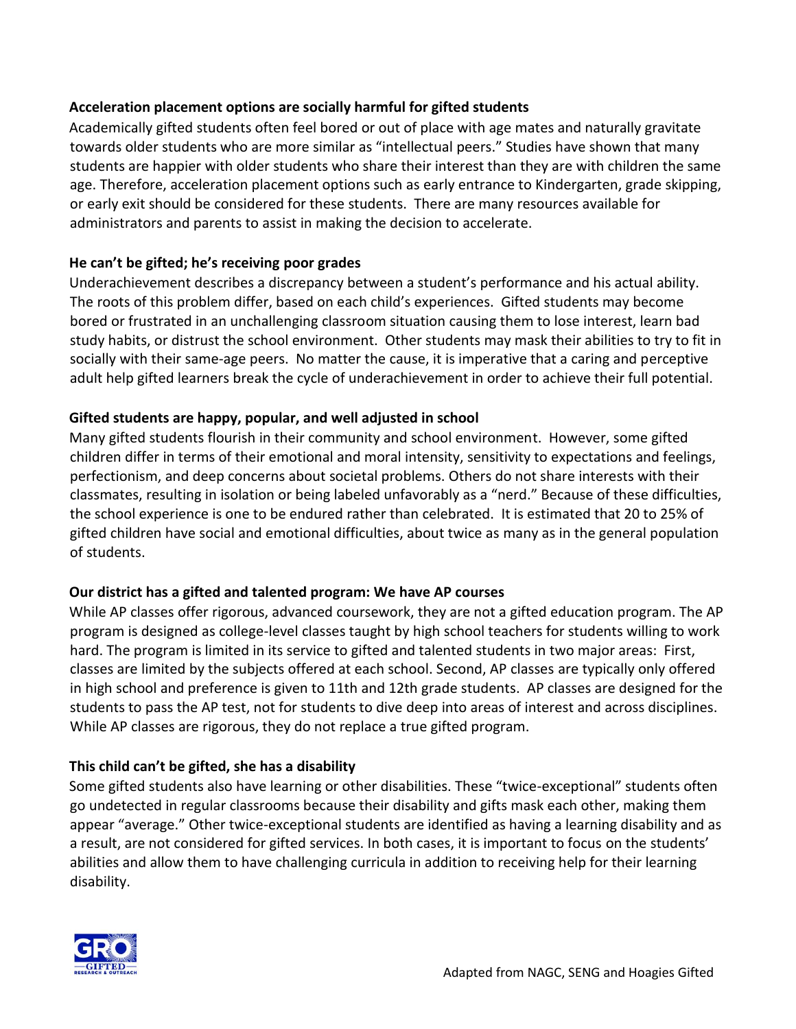#### **Acceleration placement options are socially harmful for gifted students**

Academically gifted students often feel bored or out of place with age mates and naturally gravitate towards older students who are more similar as "intellectual peers." Studies have shown that many students are happier with older students who share their interest than they are with children the same age. Therefore, acceleration placement options such as early entrance to Kindergarten, grade skipping, or early exit should be considered for these students. There are many resources available for administrators and parents to assist in making the decision to accelerate.

#### **He can't be gifted; he's receiving poor grades**

Underachievement describes a discrepancy between a student's performance and his actual ability. The roots of this problem differ, based on each child's experiences. Gifted students may become bored or frustrated in an unchallenging classroom situation causing them to lose interest, learn bad study habits, or distrust the school environment. Other students may mask their abilities to try to fit in socially with their same-age peers. No matter the cause, it is imperative that a caring and perceptive adult help gifted learners break the cycle of underachievement in order to achieve their full potential.

## **Gifted students are happy, popular, and well adjusted in school**

Many gifted students flourish in their community and school environment. However, some gifted children differ in terms of their emotional and moral intensity, sensitivity to expectations and feelings, perfectionism, and deep concerns about societal problems. Others do not share interests with their classmates, resulting in isolation or being labeled unfavorably as a "nerd." Because of these difficulties, the school experience is one to be endured rather than celebrated. It is estimated that 20 to 25% of gifted children have social and emotional difficulties, about twice as many as in the general population of students.

#### **Our district has a gifted and talented program: We have AP courses**

While AP classes offer rigorous, advanced coursework, they are not a gifted education program. The AP program is designed as college-level classes taught by high school teachers for students willing to work hard. The program is limited in its service to gifted and talented students in two major areas: First, classes are limited by the subjects offered at each school. Second, AP classes are typically only offered in high school and preference is given to 11th and 12th grade students. AP classes are designed for the students to pass the AP test, not for students to dive deep into areas of interest and across disciplines. While AP classes are rigorous, they do not replace a true gifted program.

# **This child can't be gifted, she has a disability**

Some gifted students also have learning or other disabilities. These "twice-exceptional" students often go undetected in regular classrooms because their disability and gifts mask each other, making them appear "average." Other twice-exceptional students are identified as having a learning disability and as a result, are not considered for gifted services. In both cases, it is important to focus on the students' abilities and allow them to have challenging curricula in addition to receiving help for their learning disability.

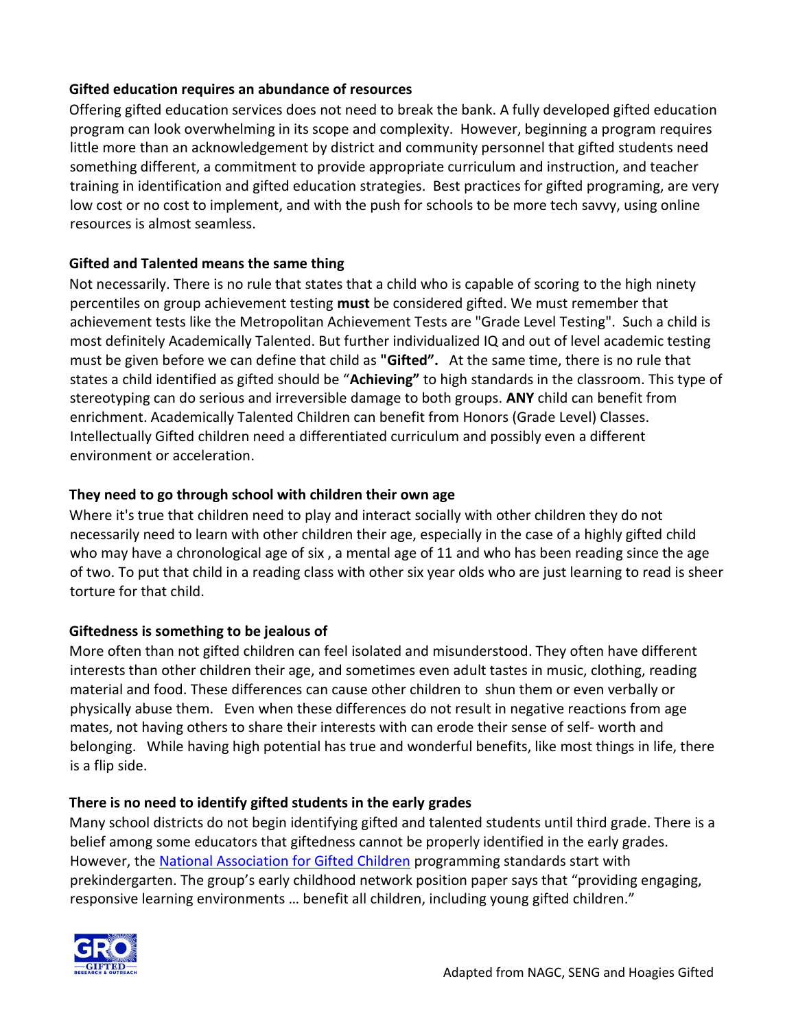#### **Gifted education requires an abundance of resources**

Offering gifted education services does not need to break the bank. A fully developed gifted education program can look overwhelming in its scope and complexity. However, beginning a program requires little more than an acknowledgement by district and community personnel that gifted students need something different, a commitment to provide appropriate curriculum and instruction, and teacher training in identification and gifted education strategies. Best practices for gifted programing, are very low cost or no cost to implement, and with the push for schools to be more tech savvy, using online resources is almost seamless.

# **Gifted and Talented means the same thing**

Not necessarily. There is no rule that states that a child who is capable of scoring to the high ninety percentiles on group achievement testing **must** be considered gifted. We must remember that achievement tests like the Metropolitan Achievement Tests are "Grade Level Testing". Such a child is most definitely Academically Talented. But further individualized IQ and out of level academic testing must be given before we can define that child as **"Gifted".** At the same time, there is no rule that states a child identified as gifted should be "**Achieving"** to high standards in the classroom. This type of stereotyping can do serious and irreversible damage to both groups. **ANY** child can benefit from enrichment. Academically Talented Children can benefit from Honors (Grade Level) Classes. Intellectually Gifted children need a differentiated curriculum and possibly even a different environment or acceleration.

## **They need to go through school with children their own age**

Where it's true that children need to play and interact socially with other children they do not necessarily need to learn with other children their age, especially in the case of a highly gifted child who may have a chronological age of six , a mental age of 11 and who has been reading since the age of two. To put that child in a reading class with other six year olds who are just learning to read is sheer torture for that child.

# **Giftedness is something to be jealous of**

More often than not gifted children can feel isolated and misunderstood. They often have different interests than other children their age, and sometimes even adult tastes in music, clothing, reading material and food. These differences can cause other children to shun them or even verbally or physically abuse them. Even when these differences do not result in negative reactions from age mates, not having others to share their interests with can erode their sense of self- worth and belonging. While having high potential has true and wonderful benefits, like most things in life, there is a flip side.

# **There is no need to identify gifted students in the early grades**

Many school districts do not begin identifying gifted and talented students until third grade. There is a belief among some educators that giftedness cannot be properly identified in the early grades. However, the **National Association for Gifted Children** programming standards start with prekindergarten. The group's early childhood network position paper says that "providing engaging, responsive learning environments … benefit all children, including young gifted children."